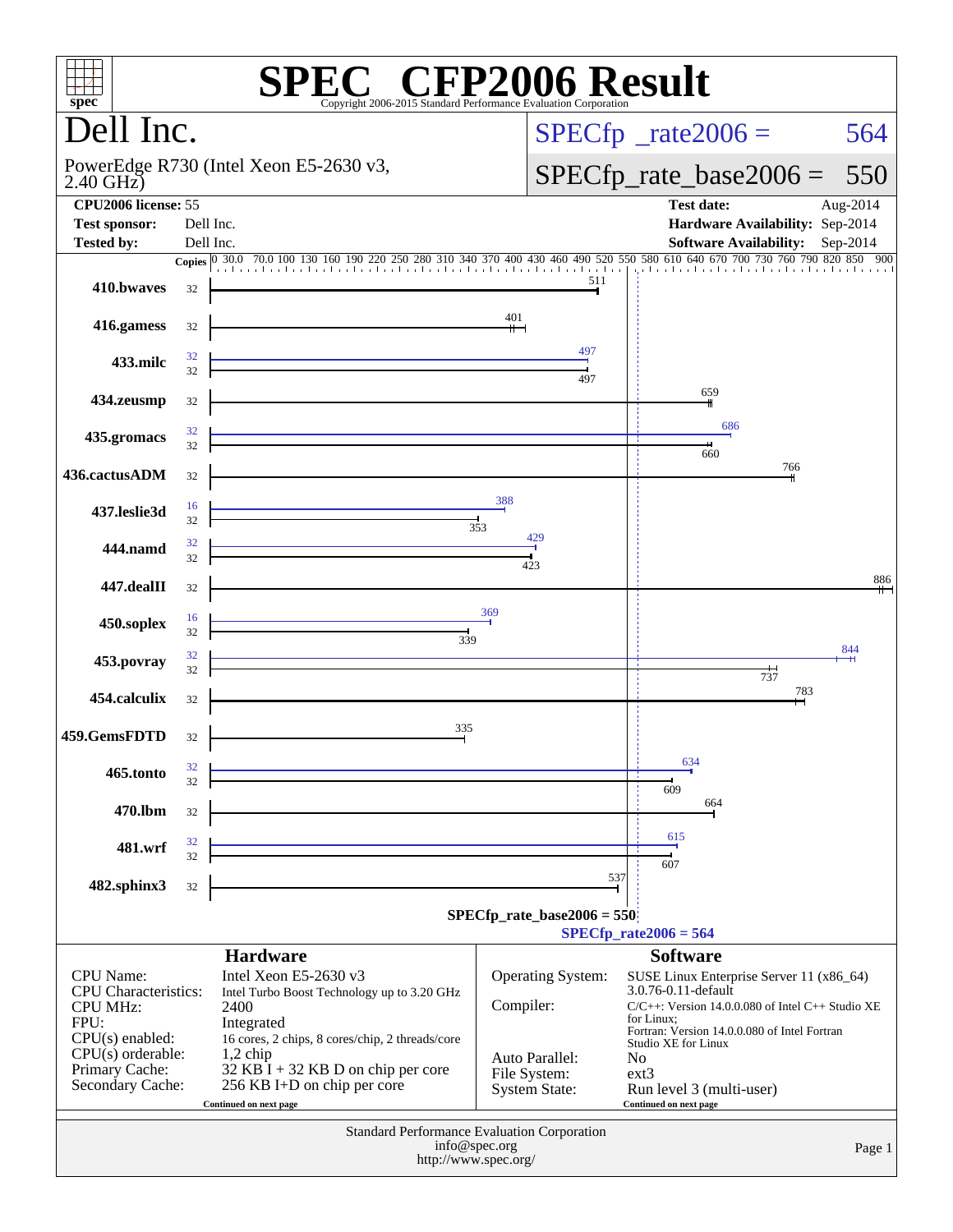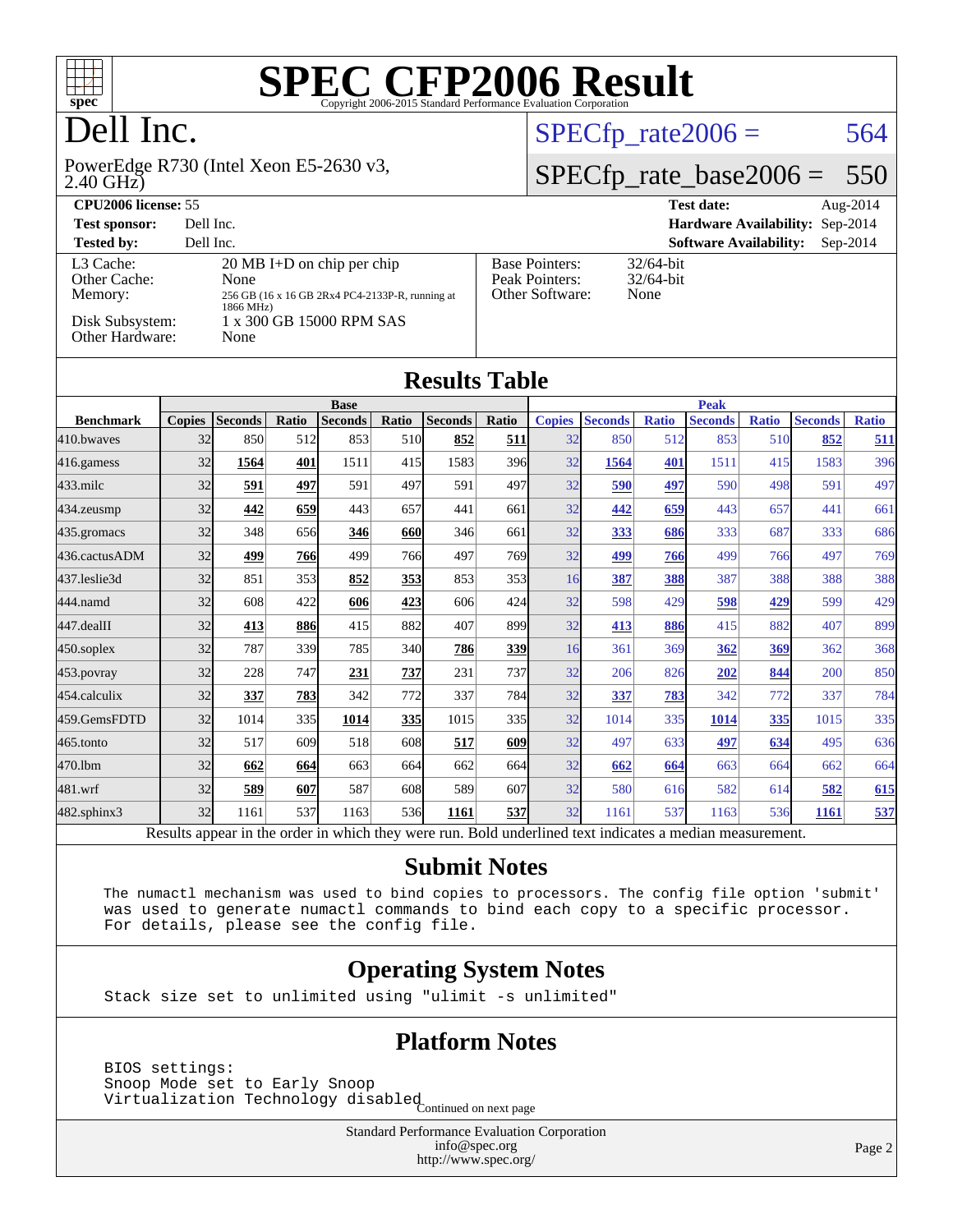

## Dell Inc.

#### 2.40 GHz) PowerEdge R730 (Intel Xeon E5-2630 v3,

#### $SPECTp_rate2006 = 564$

## [SPECfp\\_rate\\_base2006 =](http://www.spec.org/auto/cpu2006/Docs/result-fields.html#SPECfpratebase2006) 550

| CPU <sub>2006</sub> license: 55                                            |                                                                                                                                                  |                                                            | <b>Test date:</b><br>Aug- $2014$            |
|----------------------------------------------------------------------------|--------------------------------------------------------------------------------------------------------------------------------------------------|------------------------------------------------------------|---------------------------------------------|
| <b>Test sponsor:</b>                                                       | Dell Inc.                                                                                                                                        |                                                            | Hardware Availability: Sep-2014             |
| <b>Tested by:</b>                                                          | Dell Inc.                                                                                                                                        |                                                            | <b>Software Availability:</b><br>$Sep-2014$ |
| L3 Cache:<br>Other Cache:<br>Memory:<br>Disk Subsystem:<br>Other Hardware: | $20 \text{ MB}$ I+D on chip per chip<br>None<br>256 GB (16 x 16 GB 2Rx4 PC4-2133P-R, running at<br>1866 MHz)<br>1 x 300 GB 15000 RPM SAS<br>None | <b>Base Pointers:</b><br>Peak Pointers:<br>Other Software: | $32/64$ -bit<br>$32/64$ -bit<br>None        |

| <b>Results Table</b> |               |                                                                                                        |       |                |            |                |             |               |                |              |                |              |                |              |
|----------------------|---------------|--------------------------------------------------------------------------------------------------------|-------|----------------|------------|----------------|-------------|---------------|----------------|--------------|----------------|--------------|----------------|--------------|
|                      | <b>Base</b>   |                                                                                                        |       |                |            |                | <b>Peak</b> |               |                |              |                |              |                |              |
| <b>Benchmark</b>     | <b>Copies</b> | <b>Seconds</b>                                                                                         | Ratio | <b>Seconds</b> | Ratio      | <b>Seconds</b> | Ratio       | <b>Copies</b> | <b>Seconds</b> | <b>Ratio</b> | <b>Seconds</b> | <b>Ratio</b> | <b>Seconds</b> | <b>Ratio</b> |
| 410.bwayes           | 32            | 850                                                                                                    | 512   | 853            | 510        | 852            | 511         | 32            | 850            | 512          | 853            | 510          | 852            | 511          |
| 416.gamess           | 32            | 1564                                                                                                   | 401   | 1511           | 415        | 1583           | 396         | 32            | 1564           | 401          | 1511           | 415          | 1583           | 396          |
| $433$ .milc          | 32            | 591                                                                                                    | 497   | 591            | 497        | 591            | 497         | 32            | 590            | 497          | 590            | 498          | 591            | 497          |
| 434.zeusmp           | 32            | 442                                                                                                    | 659   | 443            | 657        | 441            | 661         | 32            | 442            | 659          | 443            | 657          | 441            | 661          |
| 435.gromacs          | 32            | 348                                                                                                    | 656   | 346            | 660        | 346            | 661         | 32            | 333            | 686          | 333            | 687          | 333            | 686          |
| 436.cactusADM        | 32            | 499                                                                                                    | 766   | 499            | 766        | 497            | 769         | 32            | 499            | 766          | 499            | 766          | 497            | 769          |
| 437.leslie3d         | 32            | 851                                                                                                    | 353   | 852            | <u>353</u> | 853            | 353         | 16            | 387            | 388          | 387            | 388          | 388            | 388          |
| 444.namd             | 32            | 608                                                                                                    | 422   | 606            | 423        | 606            | 424         | 32            | 598            | 429          | 598            | 429          | 599            | 429          |
| 447.dealII           | 32            | 413                                                                                                    | 886   | 415            | 882        | 407            | 899         | 32            | 413            | 886          | 415            | 882          | 407            | 899          |
| $450$ .soplex        | 32            | 787                                                                                                    | 339   | 785            | 340        | 786            | 339         | 16            | 361            | 369          | 362            | 369          | 362            | 368          |
| $453$ .povray        | 32            | 228                                                                                                    | 747   | 231            | 737        | 231            | 737         | 32            | 206            | 826          | 202            | 844          | 200            | 850          |
| 454.calculix         | 32            | 337                                                                                                    | 783   | 342            | 772        | 337            | 784         | 32            | 337            | 783          | 342            | 772          | 337            | 784          |
| 459.GemsFDTD         | 32            | 1014                                                                                                   | 335   | 1014           | 335        | 1015           | 335         | 32            | 1014           | 335          | 1014           | 335          | 1015           | 335          |
| 465.tonto            | 32            | 517                                                                                                    | 609   | 518            | 608        | 517            | 609         | 32            | 497            | 633          | 497            | 634          | 495            | 636          |
| 470.1bm              | 32            | 662                                                                                                    | 664   | 663            | 664        | 662            | 664         | 32            | 662            | 664          | 663            | 664          | 662            | 664          |
| 481.wrf              | 32            | 589                                                                                                    | 607   | 587            | 608        | 589            | 607         | 32            | 580            | 616          | 582            | 614          | 582            | 615          |
| 482.sphinx3          | 32            | 1161                                                                                                   | 537   | 1163           | 536        | 1161           | 537         | 32            | 1161           | 537          | 1163           | 536          | 1161           | 537          |
|                      |               | Decute ennear in the order in which they were run. Pold underlined text indicates a median measurement |       |                |            |                |             |               |                |              |                |              |                |              |

Results appear in the [order in which they were run.](http://www.spec.org/auto/cpu2006/Docs/result-fields.html#RunOrder) Bold underlined text [indicates a median measurement.](http://www.spec.org/auto/cpu2006/Docs/result-fields.html#Median)

#### **[Submit Notes](http://www.spec.org/auto/cpu2006/Docs/result-fields.html#SubmitNotes)**

 The numactl mechanism was used to bind copies to processors. The config file option 'submit' was used to generate numactl commands to bind each copy to a specific processor. For details, please see the config file.

#### **[Operating System Notes](http://www.spec.org/auto/cpu2006/Docs/result-fields.html#OperatingSystemNotes)**

Stack size set to unlimited using "ulimit -s unlimited"

#### **[Platform Notes](http://www.spec.org/auto/cpu2006/Docs/result-fields.html#PlatformNotes)**

 BIOS settings: Snoop Mode set to Early Snoop Shoop mode see to 1941, and isabled<br>Virtualization Technology disabled Continued on next page

> Standard Performance Evaluation Corporation [info@spec.org](mailto:info@spec.org) <http://www.spec.org/>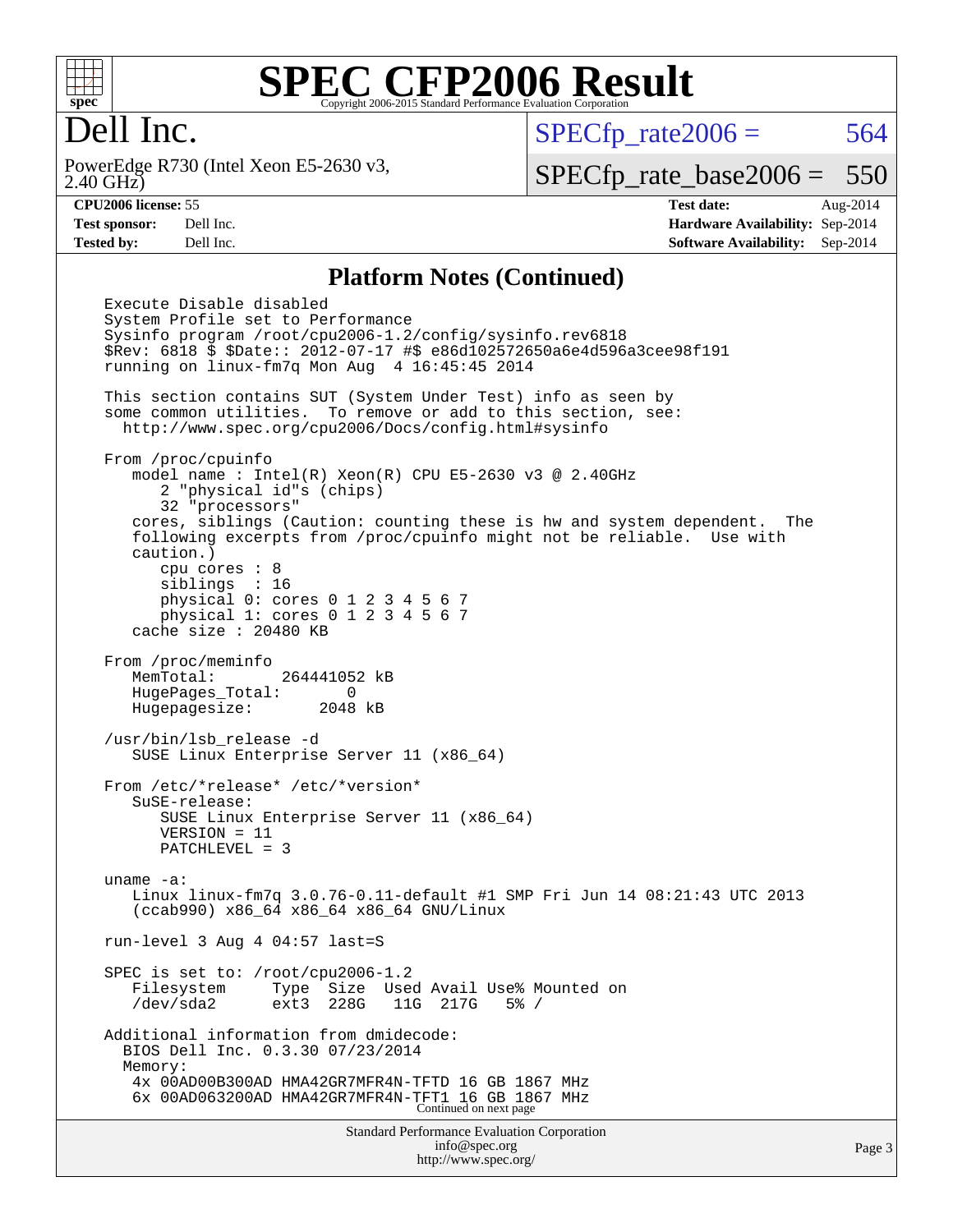

### Dell Inc.

2.40 GHz) PowerEdge R730 (Intel Xeon E5-2630 v3,  $SPECTp\_rate2006 = 564$ 

[SPECfp\\_rate\\_base2006 =](http://www.spec.org/auto/cpu2006/Docs/result-fields.html#SPECfpratebase2006) 550

**[CPU2006 license:](http://www.spec.org/auto/cpu2006/Docs/result-fields.html#CPU2006license)** 55 **[Test date:](http://www.spec.org/auto/cpu2006/Docs/result-fields.html#Testdate)** Aug-2014 **[Test sponsor:](http://www.spec.org/auto/cpu2006/Docs/result-fields.html#Testsponsor)** Dell Inc. **[Hardware Availability:](http://www.spec.org/auto/cpu2006/Docs/result-fields.html#HardwareAvailability)** Sep-2014 **[Tested by:](http://www.spec.org/auto/cpu2006/Docs/result-fields.html#Testedby)** Dell Inc. **[Software Availability:](http://www.spec.org/auto/cpu2006/Docs/result-fields.html#SoftwareAvailability)** Sep-2014

#### **[Platform Notes \(Continued\)](http://www.spec.org/auto/cpu2006/Docs/result-fields.html#PlatformNotes)**

Standard Performance Evaluation Corporation Execute Disable disabled System Profile set to Performance Sysinfo program /root/cpu2006-1.2/config/sysinfo.rev6818 \$Rev: 6818 \$ \$Date:: 2012-07-17 #\$ e86d102572650a6e4d596a3cee98f191 running on linux-fm7q Mon Aug 4 16:45:45 2014 This section contains SUT (System Under Test) info as seen by some common utilities. To remove or add to this section, see: <http://www.spec.org/cpu2006/Docs/config.html#sysinfo> From /proc/cpuinfo model name : Intel $(R)$  Xeon $(R)$  CPU E5-2630 v3 @ 2.40GHz 2 "physical id"s (chips) 32 "processors" cores, siblings (Caution: counting these is hw and system dependent. The following excerpts from /proc/cpuinfo might not be reliable. Use with caution.) cpu cores : 8 siblings : 16 physical 0: cores 0 1 2 3 4 5 6 7 physical 1: cores 0 1 2 3 4 5 6 7 cache size : 20480 KB From /proc/meminfo MemTotal: 264441052 kB HugePages\_Total: 0 Hugepagesize: 2048 kB /usr/bin/lsb\_release -d SUSE Linux Enterprise Server 11 (x86\_64) From /etc/\*release\* /etc/\*version\* SuSE-release: SUSE Linux Enterprise Server 11 (x86\_64) VERSION = 11 PATCHLEVEL = 3 uname -a: Linux linux-fm7q 3.0.76-0.11-default #1 SMP Fri Jun 14 08:21:43 UTC 2013 (ccab990) x86\_64 x86\_64 x86\_64 GNU/Linux run-level 3 Aug 4 04:57 last=S SPEC is set to: /root/cpu2006-1.2 Filesystem Type Size Used Avail Use% Mounted on /dev/sda2 ext3 228G 11G 217G 5% / Additional information from dmidecode: BIOS Dell Inc. 0.3.30 07/23/2014 Memory: 4x 00AD00B300AD HMA42GR7MFR4N-TFTD 16 GB 1867 MHz 6x 00AD063200AD HMA42GR7MFR4N-TFT1 16 GB 1867 MHz Continued on next page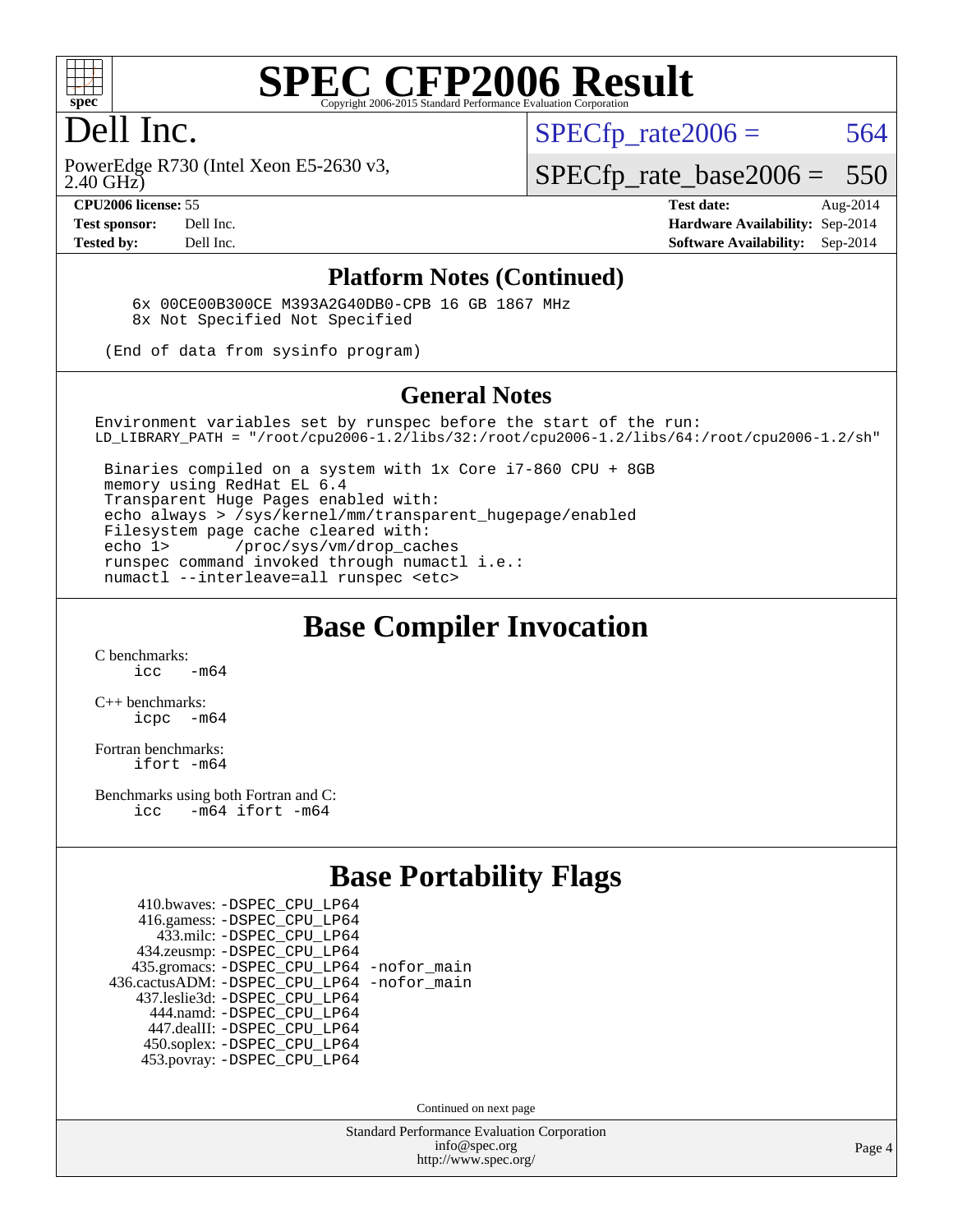

### Dell Inc.

 $SPECTp\_rate2006 = 564$ 

2.40 GHz) PowerEdge R730 (Intel Xeon E5-2630 v3, [SPECfp\\_rate\\_base2006 =](http://www.spec.org/auto/cpu2006/Docs/result-fields.html#SPECfpratebase2006) 550

**[CPU2006 license:](http://www.spec.org/auto/cpu2006/Docs/result-fields.html#CPU2006license)** 55 **[Test date:](http://www.spec.org/auto/cpu2006/Docs/result-fields.html#Testdate)** Aug-2014 **[Test sponsor:](http://www.spec.org/auto/cpu2006/Docs/result-fields.html#Testsponsor)** Dell Inc. **[Hardware Availability:](http://www.spec.org/auto/cpu2006/Docs/result-fields.html#HardwareAvailability)** Sep-2014 **[Tested by:](http://www.spec.org/auto/cpu2006/Docs/result-fields.html#Testedby)** Dell Inc. **[Software Availability:](http://www.spec.org/auto/cpu2006/Docs/result-fields.html#SoftwareAvailability)** Sep-2014

#### **[Platform Notes \(Continued\)](http://www.spec.org/auto/cpu2006/Docs/result-fields.html#PlatformNotes)**

 6x 00CE00B300CE M393A2G40DB0-CPB 16 GB 1867 MHz 8x Not Specified Not Specified

(End of data from sysinfo program)

#### **[General Notes](http://www.spec.org/auto/cpu2006/Docs/result-fields.html#GeneralNotes)**

Environment variables set by runspec before the start of the run: LD\_LIBRARY\_PATH = "/root/cpu2006-1.2/libs/32:/root/cpu2006-1.2/libs/64:/root/cpu2006-1.2/sh"

 Binaries compiled on a system with 1x Core i7-860 CPU + 8GB memory using RedHat EL 6.4 Transparent Huge Pages enabled with: echo always > /sys/kernel/mm/transparent\_hugepage/enabled Filesystem page cache cleared with: echo 1> /proc/sys/vm/drop\_caches runspec command invoked through numactl i.e.: numactl --interleave=all runspec <etc>

#### **[Base Compiler Invocation](http://www.spec.org/auto/cpu2006/Docs/result-fields.html#BaseCompilerInvocation)**

[C benchmarks](http://www.spec.org/auto/cpu2006/Docs/result-fields.html#Cbenchmarks):  $\frac{1}{2}$   $\mathrm{c}$   $\mathrm{c}$   $\frac{1}{2}$   $\mathrm{m}$   $\mathrm{6}$   $\mathrm{4}$ 

[C++ benchmarks:](http://www.spec.org/auto/cpu2006/Docs/result-fields.html#CXXbenchmarks) [icpc -m64](http://www.spec.org/cpu2006/results/res2014q3/cpu2006-20140909-31286.flags.html#user_CXXbase_intel_icpc_64bit_bedb90c1146cab66620883ef4f41a67e)

[Fortran benchmarks](http://www.spec.org/auto/cpu2006/Docs/result-fields.html#Fortranbenchmarks): [ifort -m64](http://www.spec.org/cpu2006/results/res2014q3/cpu2006-20140909-31286.flags.html#user_FCbase_intel_ifort_64bit_ee9d0fb25645d0210d97eb0527dcc06e)

[Benchmarks using both Fortran and C](http://www.spec.org/auto/cpu2006/Docs/result-fields.html#BenchmarksusingbothFortranandC): [icc -m64](http://www.spec.org/cpu2006/results/res2014q3/cpu2006-20140909-31286.flags.html#user_CC_FCbase_intel_icc_64bit_0b7121f5ab7cfabee23d88897260401c) [ifort -m64](http://www.spec.org/cpu2006/results/res2014q3/cpu2006-20140909-31286.flags.html#user_CC_FCbase_intel_ifort_64bit_ee9d0fb25645d0210d97eb0527dcc06e)

#### **[Base Portability Flags](http://www.spec.org/auto/cpu2006/Docs/result-fields.html#BasePortabilityFlags)**

| 410.bwaves: - DSPEC CPU LP64                 |  |
|----------------------------------------------|--|
| 416.gamess: -DSPEC_CPU_LP64                  |  |
| 433.milc: -DSPEC CPU LP64                    |  |
| 434.zeusmp: -DSPEC_CPU_LP64                  |  |
| 435.gromacs: -DSPEC_CPU_LP64 -nofor_main     |  |
| 436.cactusADM: - DSPEC CPU LP64 - nofor main |  |
| 437.leslie3d: -DSPEC_CPU_LP64                |  |
| 444.namd: - DSPEC CPU LP64                   |  |
| 447.dealII: -DSPEC CPU LP64                  |  |
| 450.soplex: -DSPEC_CPU_LP64                  |  |
| 453.povray: -DSPEC CPU LP64                  |  |

Continued on next page

Standard Performance Evaluation Corporation [info@spec.org](mailto:info@spec.org) <http://www.spec.org/>

Page 4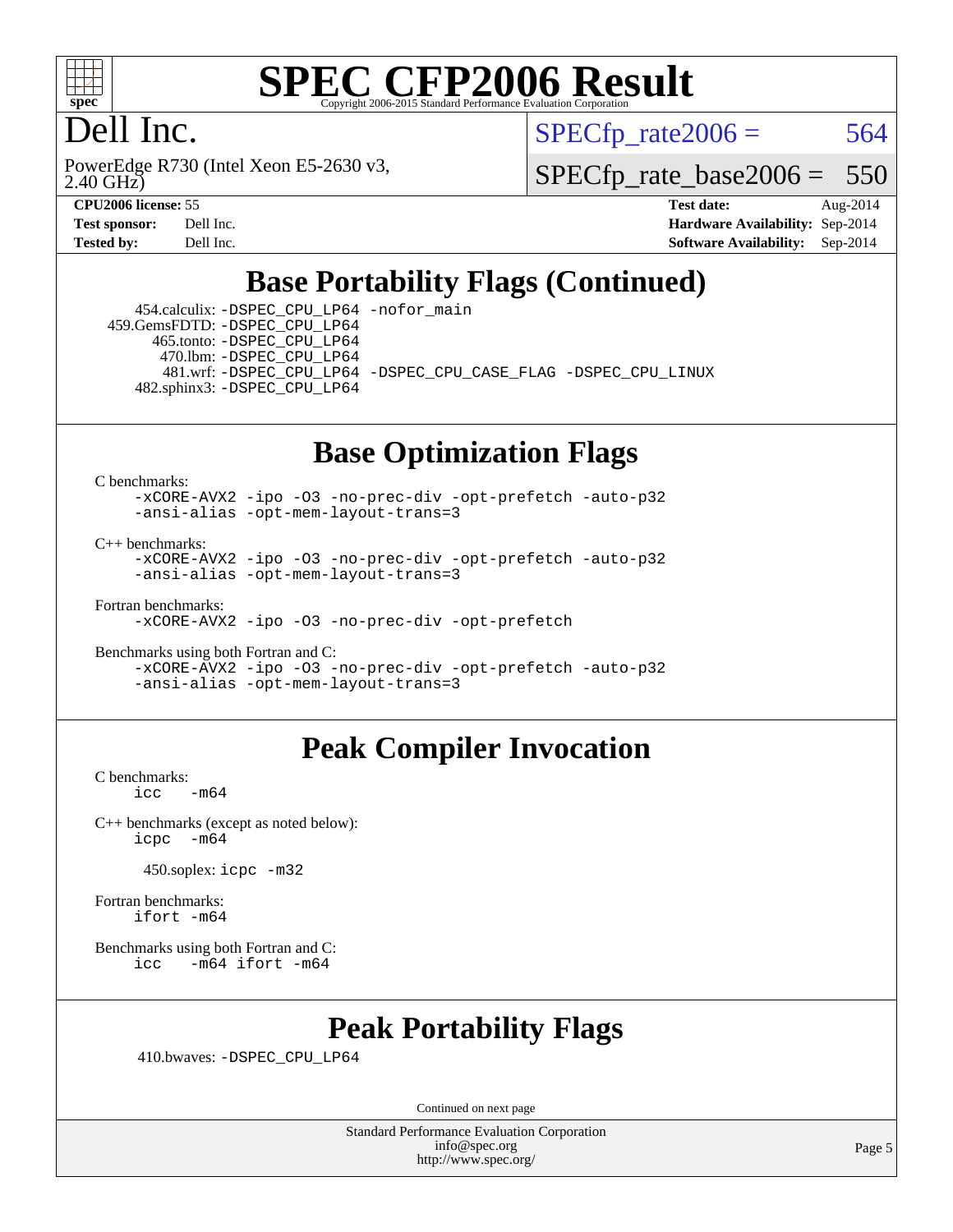

### Dell Inc.

2.40 GHz) PowerEdge R730 (Intel Xeon E5-2630 v3,  $SPECTp\_rate2006 = 564$ 

[SPECfp\\_rate\\_base2006 =](http://www.spec.org/auto/cpu2006/Docs/result-fields.html#SPECfpratebase2006) 550

**[CPU2006 license:](http://www.spec.org/auto/cpu2006/Docs/result-fields.html#CPU2006license)** 55 **[Test date:](http://www.spec.org/auto/cpu2006/Docs/result-fields.html#Testdate)** Aug-2014 **[Test sponsor:](http://www.spec.org/auto/cpu2006/Docs/result-fields.html#Testsponsor)** Dell Inc. **[Hardware Availability:](http://www.spec.org/auto/cpu2006/Docs/result-fields.html#HardwareAvailability)** Sep-2014 **[Tested by:](http://www.spec.org/auto/cpu2006/Docs/result-fields.html#Testedby)** Dell Inc. **[Software Availability:](http://www.spec.org/auto/cpu2006/Docs/result-fields.html#SoftwareAvailability)** Sep-2014

### **[Base Portability Flags \(Continued\)](http://www.spec.org/auto/cpu2006/Docs/result-fields.html#BasePortabilityFlags)**

 454.calculix: [-DSPEC\\_CPU\\_LP64](http://www.spec.org/cpu2006/results/res2014q3/cpu2006-20140909-31286.flags.html#suite_basePORTABILITY454_calculix_DSPEC_CPU_LP64) [-nofor\\_main](http://www.spec.org/cpu2006/results/res2014q3/cpu2006-20140909-31286.flags.html#user_baseLDPORTABILITY454_calculix_f-nofor_main) 459.GemsFDTD: [-DSPEC\\_CPU\\_LP64](http://www.spec.org/cpu2006/results/res2014q3/cpu2006-20140909-31286.flags.html#suite_basePORTABILITY459_GemsFDTD_DSPEC_CPU_LP64) 465.tonto: [-DSPEC\\_CPU\\_LP64](http://www.spec.org/cpu2006/results/res2014q3/cpu2006-20140909-31286.flags.html#suite_basePORTABILITY465_tonto_DSPEC_CPU_LP64) 470.lbm: [-DSPEC\\_CPU\\_LP64](http://www.spec.org/cpu2006/results/res2014q3/cpu2006-20140909-31286.flags.html#suite_basePORTABILITY470_lbm_DSPEC_CPU_LP64) 481.wrf: [-DSPEC\\_CPU\\_LP64](http://www.spec.org/cpu2006/results/res2014q3/cpu2006-20140909-31286.flags.html#suite_basePORTABILITY481_wrf_DSPEC_CPU_LP64) [-DSPEC\\_CPU\\_CASE\\_FLAG](http://www.spec.org/cpu2006/results/res2014q3/cpu2006-20140909-31286.flags.html#b481.wrf_baseCPORTABILITY_DSPEC_CPU_CASE_FLAG) [-DSPEC\\_CPU\\_LINUX](http://www.spec.org/cpu2006/results/res2014q3/cpu2006-20140909-31286.flags.html#b481.wrf_baseCPORTABILITY_DSPEC_CPU_LINUX) 482.sphinx3: [-DSPEC\\_CPU\\_LP64](http://www.spec.org/cpu2006/results/res2014q3/cpu2006-20140909-31286.flags.html#suite_basePORTABILITY482_sphinx3_DSPEC_CPU_LP64)

## **[Base Optimization Flags](http://www.spec.org/auto/cpu2006/Docs/result-fields.html#BaseOptimizationFlags)**

[C benchmarks](http://www.spec.org/auto/cpu2006/Docs/result-fields.html#Cbenchmarks):

[-xCORE-AVX2](http://www.spec.org/cpu2006/results/res2014q3/cpu2006-20140909-31286.flags.html#user_CCbase_f-xAVX2_5f5fc0cbe2c9f62c816d3e45806c70d7) [-ipo](http://www.spec.org/cpu2006/results/res2014q3/cpu2006-20140909-31286.flags.html#user_CCbase_f-ipo) [-O3](http://www.spec.org/cpu2006/results/res2014q3/cpu2006-20140909-31286.flags.html#user_CCbase_f-O3) [-no-prec-div](http://www.spec.org/cpu2006/results/res2014q3/cpu2006-20140909-31286.flags.html#user_CCbase_f-no-prec-div) [-opt-prefetch](http://www.spec.org/cpu2006/results/res2014q3/cpu2006-20140909-31286.flags.html#user_CCbase_f-opt-prefetch) [-auto-p32](http://www.spec.org/cpu2006/results/res2014q3/cpu2006-20140909-31286.flags.html#user_CCbase_f-auto-p32) [-ansi-alias](http://www.spec.org/cpu2006/results/res2014q3/cpu2006-20140909-31286.flags.html#user_CCbase_f-ansi-alias) [-opt-mem-layout-trans=3](http://www.spec.org/cpu2006/results/res2014q3/cpu2006-20140909-31286.flags.html#user_CCbase_f-opt-mem-layout-trans_a7b82ad4bd7abf52556d4961a2ae94d5)

[C++ benchmarks:](http://www.spec.org/auto/cpu2006/Docs/result-fields.html#CXXbenchmarks)

[-xCORE-AVX2](http://www.spec.org/cpu2006/results/res2014q3/cpu2006-20140909-31286.flags.html#user_CXXbase_f-xAVX2_5f5fc0cbe2c9f62c816d3e45806c70d7) [-ipo](http://www.spec.org/cpu2006/results/res2014q3/cpu2006-20140909-31286.flags.html#user_CXXbase_f-ipo) [-O3](http://www.spec.org/cpu2006/results/res2014q3/cpu2006-20140909-31286.flags.html#user_CXXbase_f-O3) [-no-prec-div](http://www.spec.org/cpu2006/results/res2014q3/cpu2006-20140909-31286.flags.html#user_CXXbase_f-no-prec-div) [-opt-prefetch](http://www.spec.org/cpu2006/results/res2014q3/cpu2006-20140909-31286.flags.html#user_CXXbase_f-opt-prefetch) [-auto-p32](http://www.spec.org/cpu2006/results/res2014q3/cpu2006-20140909-31286.flags.html#user_CXXbase_f-auto-p32) [-ansi-alias](http://www.spec.org/cpu2006/results/res2014q3/cpu2006-20140909-31286.flags.html#user_CXXbase_f-ansi-alias) [-opt-mem-layout-trans=3](http://www.spec.org/cpu2006/results/res2014q3/cpu2006-20140909-31286.flags.html#user_CXXbase_f-opt-mem-layout-trans_a7b82ad4bd7abf52556d4961a2ae94d5)

[Fortran benchmarks](http://www.spec.org/auto/cpu2006/Docs/result-fields.html#Fortranbenchmarks):

[-xCORE-AVX2](http://www.spec.org/cpu2006/results/res2014q3/cpu2006-20140909-31286.flags.html#user_FCbase_f-xAVX2_5f5fc0cbe2c9f62c816d3e45806c70d7) [-ipo](http://www.spec.org/cpu2006/results/res2014q3/cpu2006-20140909-31286.flags.html#user_FCbase_f-ipo) [-O3](http://www.spec.org/cpu2006/results/res2014q3/cpu2006-20140909-31286.flags.html#user_FCbase_f-O3) [-no-prec-div](http://www.spec.org/cpu2006/results/res2014q3/cpu2006-20140909-31286.flags.html#user_FCbase_f-no-prec-div) [-opt-prefetch](http://www.spec.org/cpu2006/results/res2014q3/cpu2006-20140909-31286.flags.html#user_FCbase_f-opt-prefetch)

[Benchmarks using both Fortran and C](http://www.spec.org/auto/cpu2006/Docs/result-fields.html#BenchmarksusingbothFortranandC): [-xCORE-AVX2](http://www.spec.org/cpu2006/results/res2014q3/cpu2006-20140909-31286.flags.html#user_CC_FCbase_f-xAVX2_5f5fc0cbe2c9f62c816d3e45806c70d7) [-ipo](http://www.spec.org/cpu2006/results/res2014q3/cpu2006-20140909-31286.flags.html#user_CC_FCbase_f-ipo) [-O3](http://www.spec.org/cpu2006/results/res2014q3/cpu2006-20140909-31286.flags.html#user_CC_FCbase_f-O3) [-no-prec-div](http://www.spec.org/cpu2006/results/res2014q3/cpu2006-20140909-31286.flags.html#user_CC_FCbase_f-no-prec-div) [-opt-prefetch](http://www.spec.org/cpu2006/results/res2014q3/cpu2006-20140909-31286.flags.html#user_CC_FCbase_f-opt-prefetch) [-auto-p32](http://www.spec.org/cpu2006/results/res2014q3/cpu2006-20140909-31286.flags.html#user_CC_FCbase_f-auto-p32) [-ansi-alias](http://www.spec.org/cpu2006/results/res2014q3/cpu2006-20140909-31286.flags.html#user_CC_FCbase_f-ansi-alias) [-opt-mem-layout-trans=3](http://www.spec.org/cpu2006/results/res2014q3/cpu2006-20140909-31286.flags.html#user_CC_FCbase_f-opt-mem-layout-trans_a7b82ad4bd7abf52556d4961a2ae94d5)

### **[Peak Compiler Invocation](http://www.spec.org/auto/cpu2006/Docs/result-fields.html#PeakCompilerInvocation)**

[C benchmarks](http://www.spec.org/auto/cpu2006/Docs/result-fields.html#Cbenchmarks):  $-m64$ 

[C++ benchmarks \(except as noted below\):](http://www.spec.org/auto/cpu2006/Docs/result-fields.html#CXXbenchmarksexceptasnotedbelow) [icpc -m64](http://www.spec.org/cpu2006/results/res2014q3/cpu2006-20140909-31286.flags.html#user_CXXpeak_intel_icpc_64bit_bedb90c1146cab66620883ef4f41a67e)

450.soplex: [icpc -m32](http://www.spec.org/cpu2006/results/res2014q3/cpu2006-20140909-31286.flags.html#user_peakCXXLD450_soplex_intel_icpc_4e5a5ef1a53fd332b3c49e69c3330699)

[Fortran benchmarks](http://www.spec.org/auto/cpu2006/Docs/result-fields.html#Fortranbenchmarks): [ifort -m64](http://www.spec.org/cpu2006/results/res2014q3/cpu2006-20140909-31286.flags.html#user_FCpeak_intel_ifort_64bit_ee9d0fb25645d0210d97eb0527dcc06e)

[Benchmarks using both Fortran and C](http://www.spec.org/auto/cpu2006/Docs/result-fields.html#BenchmarksusingbothFortranandC): [icc -m64](http://www.spec.org/cpu2006/results/res2014q3/cpu2006-20140909-31286.flags.html#user_CC_FCpeak_intel_icc_64bit_0b7121f5ab7cfabee23d88897260401c) [ifort -m64](http://www.spec.org/cpu2006/results/res2014q3/cpu2006-20140909-31286.flags.html#user_CC_FCpeak_intel_ifort_64bit_ee9d0fb25645d0210d97eb0527dcc06e)

### **[Peak Portability Flags](http://www.spec.org/auto/cpu2006/Docs/result-fields.html#PeakPortabilityFlags)**

410.bwaves: [-DSPEC\\_CPU\\_LP64](http://www.spec.org/cpu2006/results/res2014q3/cpu2006-20140909-31286.flags.html#suite_peakPORTABILITY410_bwaves_DSPEC_CPU_LP64)

Continued on next page

Standard Performance Evaluation Corporation [info@spec.org](mailto:info@spec.org) <http://www.spec.org/>

Page 5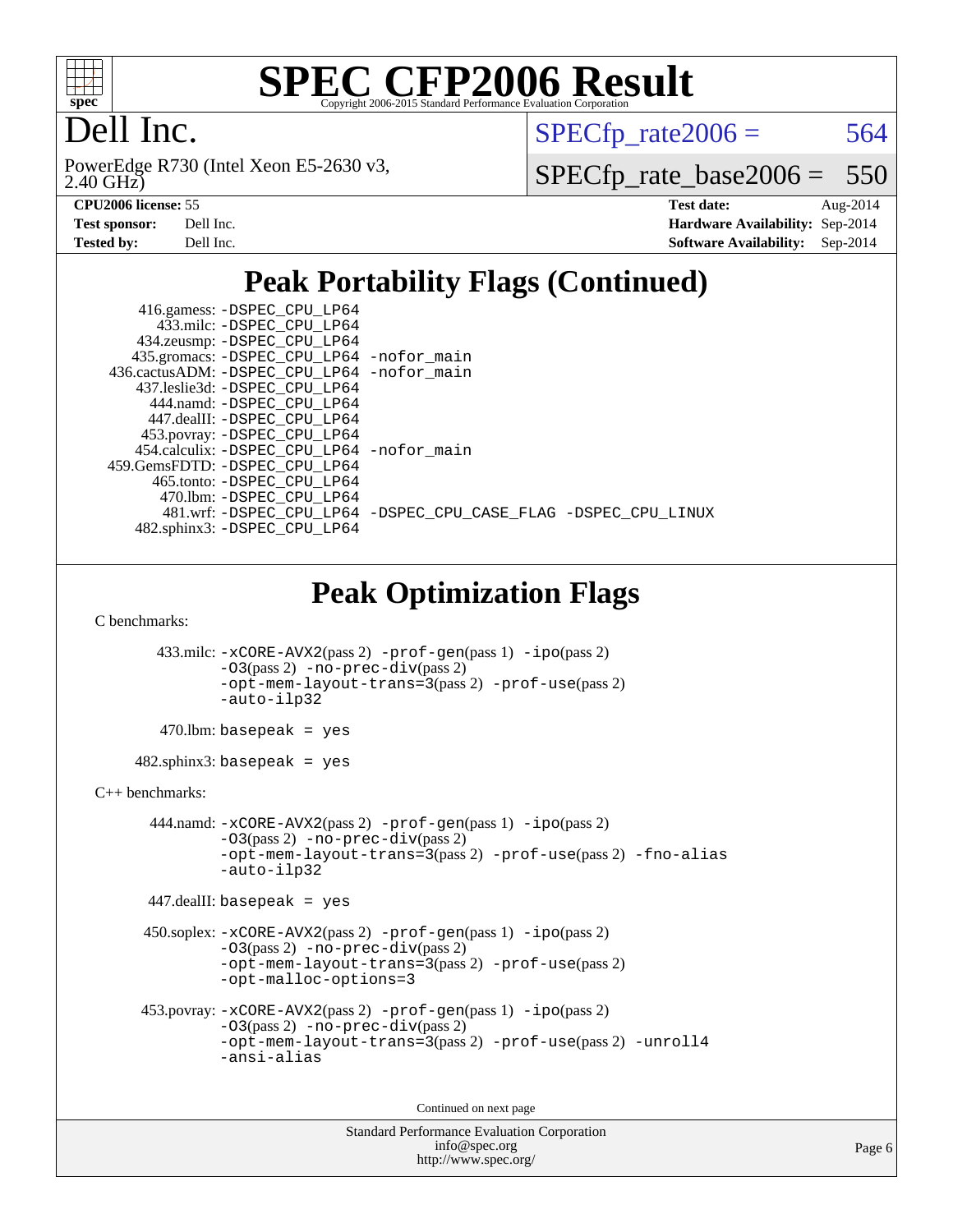

## Dell Inc.

2.40 GHz) PowerEdge R730 (Intel Xeon E5-2630 v3,  $SPECTp_rate2006 = 564$ 

[SPECfp\\_rate\\_base2006 =](http://www.spec.org/auto/cpu2006/Docs/result-fields.html#SPECfpratebase2006) 550

| <b>Test sponsor:</b> | Dell Inc. |
|----------------------|-----------|
| <b>Tested by:</b>    | Dell Inc. |

**[CPU2006 license:](http://www.spec.org/auto/cpu2006/Docs/result-fields.html#CPU2006license)** 55 **[Test date:](http://www.spec.org/auto/cpu2006/Docs/result-fields.html#Testdate)** Aug-2014 **[Hardware Availability:](http://www.spec.org/auto/cpu2006/Docs/result-fields.html#HardwareAvailability)** Sep-2014 **[Software Availability:](http://www.spec.org/auto/cpu2006/Docs/result-fields.html#SoftwareAvailability)** Sep-2014

## **[Peak Portability Flags \(Continued\)](http://www.spec.org/auto/cpu2006/Docs/result-fields.html#PeakPortabilityFlags)**

| 416.gamess: -DSPEC_CPU_LP64<br>433.milc: -DSPEC_CPU_LP64                                                                                                               |  |
|------------------------------------------------------------------------------------------------------------------------------------------------------------------------|--|
| 434.zeusmp: -DSPEC_CPU_LP64                                                                                                                                            |  |
| 435.gromacs: -DSPEC_CPU_LP64 -nofor_main                                                                                                                               |  |
| 436.cactusADM: -DSPEC_CPU_LP64 -nofor_main                                                                                                                             |  |
| 437.leslie3d: -DSPEC_CPU_LP64                                                                                                                                          |  |
| 444.namd: - DSPEC CPU LP64<br>447.dealII: -DSPEC_CPU_LP64                                                                                                              |  |
| 453.povray: -DSPEC_CPU_LP64                                                                                                                                            |  |
| 454.calculix: -DSPEC_CPU_LP64 -nofor_main                                                                                                                              |  |
| 459.GemsFDTD: - DSPEC_CPU_LP64                                                                                                                                         |  |
| 465.tonto: -DSPEC_CPU_LP64                                                                                                                                             |  |
| 470.1bm: -DSPEC_CPU_LP64                                                                                                                                               |  |
| 481.wrf: -DSPEC_CPU_LP64 -DSPEC_CPU_CASE_FLAG -DSPEC_CPU_LINUX                                                                                                         |  |
| 482.sphinx3: -DSPEC_CPU_LP64                                                                                                                                           |  |
|                                                                                                                                                                        |  |
| <b>Peak Optimization Flags</b><br>C benchmarks:                                                                                                                        |  |
|                                                                                                                                                                        |  |
| 433.milc: -xCORE-AVX2(pass 2) -prof-gen(pass 1) -ipo(pass 2)<br>$-03(pass 2)$ -no-prec-div(pass 2)<br>-opt-mem-layout-trans=3(pass 2) -prof-use(pass 2)                |  |
| -auto-ilp32                                                                                                                                                            |  |
| $470$ .lbm: basepeak = yes                                                                                                                                             |  |
| $482.\text{sphinx3: basepeak} = \text{yes}$                                                                                                                            |  |
| $C_{++}$ benchmarks:                                                                                                                                                   |  |
| 444.namd: -xCORE-AVX2(pass 2) -prof-gen(pass 1) -ipo(pass 2)<br>$-03$ (pass 2) -no-prec-div(pass 2)                                                                    |  |
| -opt-mem-layout-trans=3(pass 2) -prof-use(pass 2) -fno-alias<br>$-auto-ilp32$                                                                                          |  |
| $447$ .dealII: basepeak = yes                                                                                                                                          |  |
| $450$ .soplex: $-x \text{CORE-AVX2}(pass 2)$ -prof-gen(pass 1) -ipo(pass 2)<br>$-03(pass 2)$ -no-prec-div(pass 2)<br>-opt-mem-layout-trans=3(pass 2) -prof-use(pass 2) |  |
| -opt-malloc-options=3                                                                                                                                                  |  |
| 453.povray: -xCORE-AVX2(pass 2) -prof-gen(pass 1) -ipo(pass 2)                                                                                                         |  |
| $-03(pass 2)$ -no-prec-div(pass 2)                                                                                                                                     |  |
| -opt-mem-layout-trans=3(pass 2) -prof-use(pass 2) -unroll4<br>-ansi-alias                                                                                              |  |
| Continued on next page                                                                                                                                                 |  |
| Standard Performance Evaluation Corporation                                                                                                                            |  |
|                                                                                                                                                                        |  |

[info@spec.org](mailto:info@spec.org) <http://www.spec.org/>